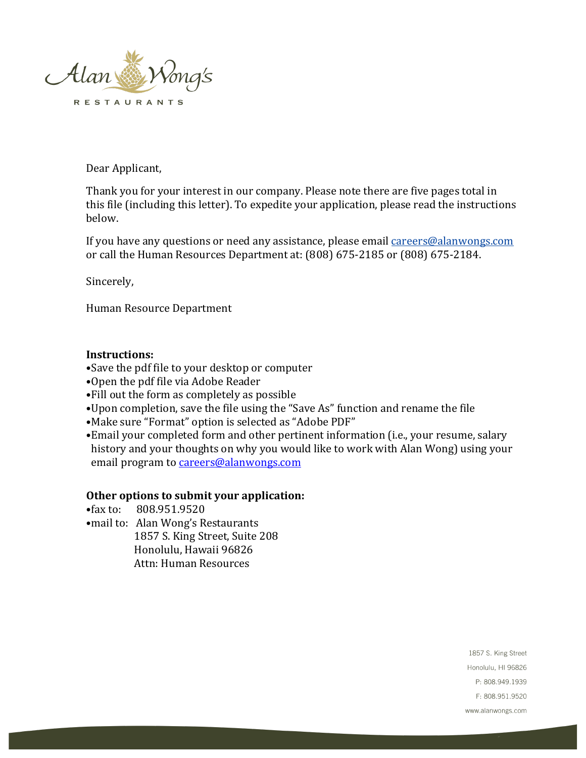

Dear Applicant,

Thank you for your interest in our company. Please note there are five pages total in this file (including this letter). To expedite your application, please read the instructions below.

If you have any questions or need any assistance, please email careers@alanwongs.com or call the Human Resources Department at: (808) 675-2185 or (808) 675-2184.

Sincerely,

Human Resource Department

## **Instructions:**

- •Save the pdf file to your desktop or computer
- •Open the pdf file via Adobe Reader
- •Fill out the form as completely as possible
- •Upon completion, save the file using the "Save As" function and rename the file
- •Make sure "Format" option is selected as "Adobe PDF"
- Email your completed form and other pertinent information (i.e., your resume, salary history and your thoughts on why you would like to work with Alan Wong) using your email program to careers@alanwongs.com

## Other options to submit your application:

- •fax to: 808.951.9520
- mail to: Alan Wong's Restaurants 1857 S. King Street, Suite 208 Honolulu, Hawaii 96826 Attn: Human Resources

1857 S. King Street Honolulu, HI 96826 P: 808.949.1939 F: 808.951.9520 www.alanwongs.com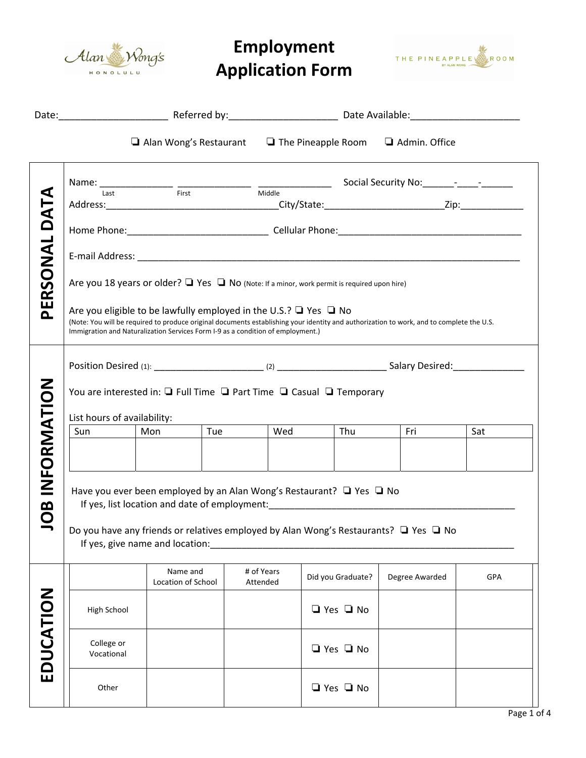

## **Employment Application Form**



|                    |                                                                                                                                                                                                                                                                                                                                                                                                                    | $\Box$ Alan Wong's Restaurant $\Box$ The Pineapple Room $\Box$ Admin. Office |     |                        |  |                                               |                |  |     |  |
|--------------------|--------------------------------------------------------------------------------------------------------------------------------------------------------------------------------------------------------------------------------------------------------------------------------------------------------------------------------------------------------------------------------------------------------------------|------------------------------------------------------------------------------|-----|------------------------|--|-----------------------------------------------|----------------|--|-----|--|
| PERSONAL DATA      | Are you 18 years or older? $\Box$ Yes $\Box$ No (Note: If a minor, work permit is required upon hire)<br>Are you eligible to be lawfully employed in the U.S.? $\Box$ Yes $\Box$ No<br>(Note: You will be required to produce original documents establishing your identity and authorization to work, and to complete the U.S.<br>Immigration and Naturalization Services Form I-9 as a condition of employment.) |                                                                              |     |                        |  |                                               |                |  |     |  |
| INFORMATION<br>JOB | You are interested in: $\Box$ Full Time $\Box$ Part Time $\Box$ Casual $\Box$ Temporary<br>List hours of availability:<br>Sun<br>Have you ever been employed by an Alan Wong's Restaurant? $\Box$ Yes $\Box$ No<br>Do you have any friends or relatives employed by Alan Wong's Restaurants? □ Yes □ No<br>If yes, give name and location:                                                                         | Mon                                                                          | Tue | Wed                    |  | <b>Thu</b>                                    | l Fri          |  | Sat |  |
| EDUCATION          | High School<br>College or<br>Vocational                                                                                                                                                                                                                                                                                                                                                                            | Name and<br>Location of School                                               |     | # of Years<br>Attended |  | Did you Graduate?<br>□ Yes □ No<br>□ Yes □ No | Degree Awarded |  | GPA |  |
|                    | Other                                                                                                                                                                                                                                                                                                                                                                                                              |                                                                              |     |                        |  | $\Box$ Yes $\Box$ No                          |                |  |     |  |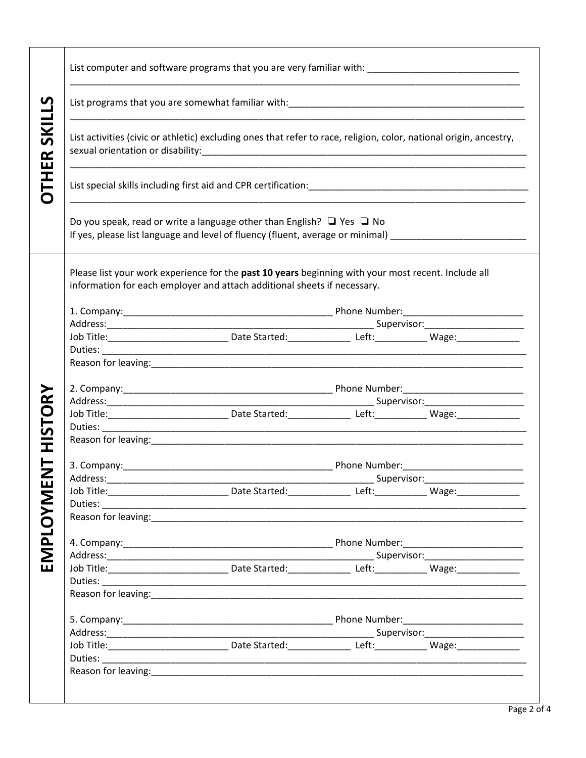| <b>THER SKILLS</b> | List computer and software programs that you are very familiar with: ______________________________                                                                                                                                                                                                                                                                                                                                                                                                                                                       |                                                                                                                                        |  |                                        |  |  |  |  |                                                                                                                                                                                 |  |  |  |  |  |  |
|--------------------|-----------------------------------------------------------------------------------------------------------------------------------------------------------------------------------------------------------------------------------------------------------------------------------------------------------------------------------------------------------------------------------------------------------------------------------------------------------------------------------------------------------------------------------------------------------|----------------------------------------------------------------------------------------------------------------------------------------|--|----------------------------------------|--|--|--|--|---------------------------------------------------------------------------------------------------------------------------------------------------------------------------------|--|--|--|--|--|--|
|                    |                                                                                                                                                                                                                                                                                                                                                                                                                                                                                                                                                           |                                                                                                                                        |  |                                        |  |  |  |  |                                                                                                                                                                                 |  |  |  |  |  |  |
|                    | List activities (civic or athletic) excluding ones that refer to race, religion, color, national origin, ancestry,<br>List special skills including first aid and CPR certification: National Communication of the control of the control of the control of the control of the control of the control of the control of the control of the control o<br>Do you speak, read or write a language other than English? $\Box$ Yes $\Box$ No<br>If yes, please list language and level of fluency (fluent, average or minimal) _______________________________ |                                                                                                                                        |  |                                        |  |  |  |  |                                                                                                                                                                                 |  |  |  |  |  |  |
|                    |                                                                                                                                                                                                                                                                                                                                                                                                                                                                                                                                                           |                                                                                                                                        |  |                                        |  |  |  |  | Please list your work experience for the past 10 years beginning with your most recent. Include all<br>information for each employer and attach additional sheets if necessary. |  |  |  |  |  |  |
|                    |                                                                                                                                                                                                                                                                                                                                                                                                                                                                                                                                                           |                                                                                                                                        |  |                                        |  |  |  |  |                                                                                                                                                                                 |  |  |  |  |  |  |
|                    |                                                                                                                                                                                                                                                                                                                                                                                                                                                                                                                                                           |                                                                                                                                        |  |                                        |  |  |  |  |                                                                                                                                                                                 |  |  |  |  |  |  |
|                    |                                                                                                                                                                                                                                                                                                                                                                                                                                                                                                                                                           | Job Title: ________________________________Date Started: __________________Left: _____________________________                         |  |                                        |  |  |  |  |                                                                                                                                                                                 |  |  |  |  |  |  |
|                    |                                                                                                                                                                                                                                                                                                                                                                                                                                                                                                                                                           |                                                                                                                                        |  |                                        |  |  |  |  |                                                                                                                                                                                 |  |  |  |  |  |  |
|                    |                                                                                                                                                                                                                                                                                                                                                                                                                                                                                                                                                           |                                                                                                                                        |  |                                        |  |  |  |  |                                                                                                                                                                                 |  |  |  |  |  |  |
|                    |                                                                                                                                                                                                                                                                                                                                                                                                                                                                                                                                                           |                                                                                                                                        |  |                                        |  |  |  |  |                                                                                                                                                                                 |  |  |  |  |  |  |
|                    |                                                                                                                                                                                                                                                                                                                                                                                                                                                                                                                                                           |                                                                                                                                        |  |                                        |  |  |  |  |                                                                                                                                                                                 |  |  |  |  |  |  |
| STORY              |                                                                                                                                                                                                                                                                                                                                                                                                                                                                                                                                                           |                                                                                                                                        |  |                                        |  |  |  |  |                                                                                                                                                                                 |  |  |  |  |  |  |
|                    |                                                                                                                                                                                                                                                                                                                                                                                                                                                                                                                                                           | Job Title: __________________________________Date Started: _________________Left: ________________Wage: _____________                  |  |                                        |  |  |  |  |                                                                                                                                                                                 |  |  |  |  |  |  |
|                    |                                                                                                                                                                                                                                                                                                                                                                                                                                                                                                                                                           |                                                                                                                                        |  |                                        |  |  |  |  |                                                                                                                                                                                 |  |  |  |  |  |  |
|                    |                                                                                                                                                                                                                                                                                                                                                                                                                                                                                                                                                           |                                                                                                                                        |  |                                        |  |  |  |  |                                                                                                                                                                                 |  |  |  |  |  |  |
|                    |                                                                                                                                                                                                                                                                                                                                                                                                                                                                                                                                                           |                                                                                                                                        |  |                                        |  |  |  |  |                                                                                                                                                                                 |  |  |  |  |  |  |
|                    |                                                                                                                                                                                                                                                                                                                                                                                                                                                                                                                                                           |                                                                                                                                        |  | __ Supervisor:________________________ |  |  |  |  |                                                                                                                                                                                 |  |  |  |  |  |  |
|                    |                                                                                                                                                                                                                                                                                                                                                                                                                                                                                                                                                           | Job Title: _________________________________Date Started: _________________Left: ___________________Wage: ____________________________ |  |                                        |  |  |  |  |                                                                                                                                                                                 |  |  |  |  |  |  |
|                    |                                                                                                                                                                                                                                                                                                                                                                                                                                                                                                                                                           |                                                                                                                                        |  |                                        |  |  |  |  |                                                                                                                                                                                 |  |  |  |  |  |  |
|                    |                                                                                                                                                                                                                                                                                                                                                                                                                                                                                                                                                           |                                                                                                                                        |  |                                        |  |  |  |  |                                                                                                                                                                                 |  |  |  |  |  |  |
|                    |                                                                                                                                                                                                                                                                                                                                                                                                                                                                                                                                                           |                                                                                                                                        |  |                                        |  |  |  |  |                                                                                                                                                                                 |  |  |  |  |  |  |
|                    |                                                                                                                                                                                                                                                                                                                                                                                                                                                                                                                                                           |                                                                                                                                        |  |                                        |  |  |  |  |                                                                                                                                                                                 |  |  |  |  |  |  |
|                    |                                                                                                                                                                                                                                                                                                                                                                                                                                                                                                                                                           |                                                                                                                                        |  |                                        |  |  |  |  |                                                                                                                                                                                 |  |  |  |  |  |  |
|                    |                                                                                                                                                                                                                                                                                                                                                                                                                                                                                                                                                           |                                                                                                                                        |  |                                        |  |  |  |  |                                                                                                                                                                                 |  |  |  |  |  |  |
|                    |                                                                                                                                                                                                                                                                                                                                                                                                                                                                                                                                                           | Job Title: ________________________________Date Started: __________________Left: ___________________ Wage: ___________________________ |  |                                        |  |  |  |  |                                                                                                                                                                                 |  |  |  |  |  |  |
|                    |                                                                                                                                                                                                                                                                                                                                                                                                                                                                                                                                                           |                                                                                                                                        |  |                                        |  |  |  |  |                                                                                                                                                                                 |  |  |  |  |  |  |
|                    |                                                                                                                                                                                                                                                                                                                                                                                                                                                                                                                                                           |                                                                                                                                        |  |                                        |  |  |  |  |                                                                                                                                                                                 |  |  |  |  |  |  |
| EMPLOYME           |                                                                                                                                                                                                                                                                                                                                                                                                                                                                                                                                                           |                                                                                                                                        |  |                                        |  |  |  |  |                                                                                                                                                                                 |  |  |  |  |  |  |
|                    |                                                                                                                                                                                                                                                                                                                                                                                                                                                                                                                                                           |                                                                                                                                        |  |                                        |  |  |  |  |                                                                                                                                                                                 |  |  |  |  |  |  |
|                    |                                                                                                                                                                                                                                                                                                                                                                                                                                                                                                                                                           |                                                                                                                                        |  |                                        |  |  |  |  |                                                                                                                                                                                 |  |  |  |  |  |  |
|                    |                                                                                                                                                                                                                                                                                                                                                                                                                                                                                                                                                           | Job Title: _________________________________Date Started: __________________Left: ____________________________                         |  |                                        |  |  |  |  |                                                                                                                                                                                 |  |  |  |  |  |  |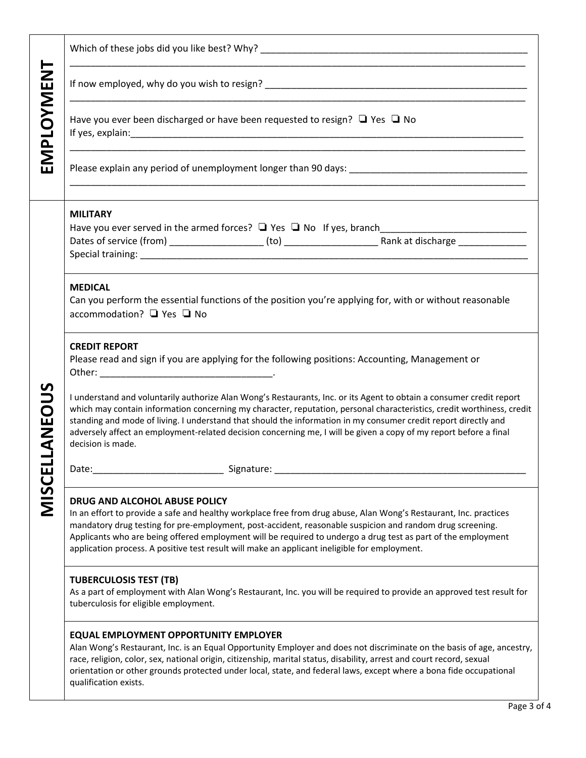| EMPLOYMENT                               |                                                                                                                                                                                                                                                                                                                                                                                                                                                                                                             |  |  |  |  |  |
|------------------------------------------|-------------------------------------------------------------------------------------------------------------------------------------------------------------------------------------------------------------------------------------------------------------------------------------------------------------------------------------------------------------------------------------------------------------------------------------------------------------------------------------------------------------|--|--|--|--|--|
|                                          |                                                                                                                                                                                                                                                                                                                                                                                                                                                                                                             |  |  |  |  |  |
|                                          | Have you ever been discharged or have been requested to resign? $\Box$ Yes $\Box$ No                                                                                                                                                                                                                                                                                                                                                                                                                        |  |  |  |  |  |
|                                          |                                                                                                                                                                                                                                                                                                                                                                                                                                                                                                             |  |  |  |  |  |
| <b>OUS</b><br><b>ANE</b><br><b>MISCE</b> | <b>MILITARY</b>                                                                                                                                                                                                                                                                                                                                                                                                                                                                                             |  |  |  |  |  |
|                                          | <b>MEDICAL</b><br>Can you perform the essential functions of the position you're applying for, with or without reasonable<br>accommodation? □ Yes □ No                                                                                                                                                                                                                                                                                                                                                      |  |  |  |  |  |
|                                          | <b>CREDIT REPORT</b><br>Please read and sign if you are applying for the following positions: Accounting, Management or                                                                                                                                                                                                                                                                                                                                                                                     |  |  |  |  |  |
|                                          | I understand and voluntarily authorize Alan Wong's Restaurants, Inc. or its Agent to obtain a consumer credit report<br>which may contain information concerning my character, reputation, personal characteristics, credit worthiness, credit<br>standing and mode of living. I understand that should the information in my consumer credit report directly and<br>adversely affect an employment-related decision concerning me, I will be given a copy of my report before a final<br>decision is made. |  |  |  |  |  |
|                                          | Signature:<br>Date:                                                                                                                                                                                                                                                                                                                                                                                                                                                                                         |  |  |  |  |  |
|                                          | DRUG AND ALCOHOL ABUSE POLICY<br>In an effort to provide a safe and healthy workplace free from drug abuse, Alan Wong's Restaurant, Inc. practices<br>mandatory drug testing for pre-employment, post-accident, reasonable suspicion and random drug screening.<br>Applicants who are being offered employment will be required to undergo a drug test as part of the employment<br>application process. A positive test result will make an applicant ineligible for employment.                           |  |  |  |  |  |
|                                          | <b>TUBERCULOSIS TEST (TB)</b><br>As a part of employment with Alan Wong's Restaurant, Inc. you will be required to provide an approved test result for<br>tuberculosis for eligible employment.                                                                                                                                                                                                                                                                                                             |  |  |  |  |  |
|                                          | <b>EQUAL EMPLOYMENT OPPORTUNITY EMPLOYER</b><br>Alan Wong's Restaurant, Inc. is an Equal Opportunity Employer and does not discriminate on the basis of age, ancestry,<br>race, religion, color, sex, national origin, citizenship, marital status, disability, arrest and court record, sexual<br>orientation or other grounds protected under local, state, and federal laws, except where a bona fide occupational<br>qualification exists.                                                              |  |  |  |  |  |